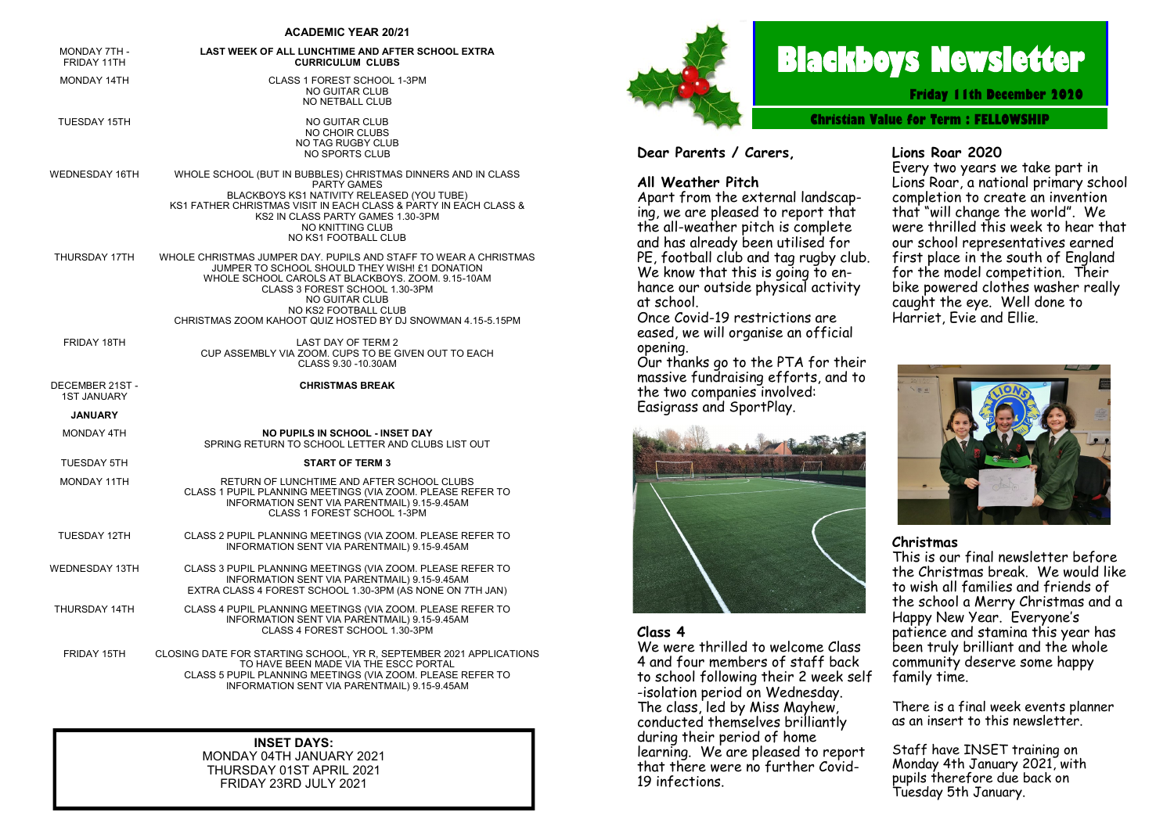#### **ACADEMIC YEAR 20/21**

| <b>MONDAY 7TH -</b><br>FRIDAY 11TH    | LAST WEEK OF ALL LUNCHTIME AND AFTER SCHOOL EXTRA<br><b>CURRICULUM CLUBS</b>                                                                                                                                                                                                                                              |
|---------------------------------------|---------------------------------------------------------------------------------------------------------------------------------------------------------------------------------------------------------------------------------------------------------------------------------------------------------------------------|
| <b>MONDAY 14TH</b>                    | CLASS 1 FOREST SCHOOL 1-3PM<br>NO GUITAR CLUB<br><b>NO NETBALL CLUB</b>                                                                                                                                                                                                                                                   |
| TUESDAY 15TH                          | NO GUITAR CLUB<br><b>NO CHOIR CLUBS</b><br>NO TAG RUGBY CLUB<br>NO SPORTS CLUB                                                                                                                                                                                                                                            |
| WEDNESDAY 16TH                        | WHOLE SCHOOL (BUT IN BUBBLES) CHRISTMAS DINNERS AND IN CLASS<br><b>PARTY GAMES</b><br>BLACKBOYS KS1 NATIVITY RELEASED (YOU TUBE)<br>KS1 FATHER CHRISTMAS VISIT IN EACH CLASS & PARTY IN EACH CLASS &<br>KS2 IN CLASS PARTY GAMES 1.30-3PM<br><b>NO KNITTING CLUB</b><br>NO KS1 FOOTBALL CLUB                              |
| THURSDAY 17TH                         | WHOLE CHRISTMAS JUMPER DAY. PUPILS AND STAFF TO WEAR A CHRISTMAS<br>JUMPER TO SCHOOL SHOULD THEY WISH! £1 DONATION<br>WHOLE SCHOOL CAROLS AT BLACKBOYS. ZOOM. 9.15-10AM<br>CLASS 3 FOREST SCHOOL 1.30-3PM<br><b>NO GUITAR CLUB</b><br>NO KS2 FOOTBALL CLUB<br>CHRISTMAS ZOOM KAHOOT QUIZ HOSTED BY DJ SNOWMAN 4.15-5.15PM |
| FRIDAY 18TH                           | <b>LAST DAY OF TERM 2</b><br>CUP ASSEMBLY VIA ZOOM, CUPS TO BE GIVEN OUT TO EACH<br>CLASS 9.30 -10.30AM                                                                                                                                                                                                                   |
| DECEMBER 21ST -<br><b>1ST JANUARY</b> | <b>CHRISTMAS BREAK</b>                                                                                                                                                                                                                                                                                                    |
| <b>JANUARY</b>                        |                                                                                                                                                                                                                                                                                                                           |
| MONDAY 4TH                            | <b>NO PUPILS IN SCHOOL - INSET DAY</b><br>SPRING RETURN TO SCHOOL LETTER AND CLUBS LIST OUT                                                                                                                                                                                                                               |
| <b>TUESDAY 5TH</b>                    | <b>START OF TERM 3</b>                                                                                                                                                                                                                                                                                                    |
| <b>MONDAY 11TH</b>                    | RETURN OF LUNCHTIME AND AFTER SCHOOL CLUBS<br>CLASS 1 PUPIL PLANNING MEETINGS (VIA ZOOM. PLEASE REFER TO<br>INFORMATION SENT VIA PARENTMAIL) 9.15-9.45AM<br>CLASS 1 FOREST SCHOOL 1-3PM                                                                                                                                   |
| TUESDAY 12TH                          | CLASS 2 PUPIL PLANNING MEETINGS (VIA ZOOM. PLEASE REFER TO<br>INFORMATION SENT VIA PARENTMAIL) 9.15-9.45AM                                                                                                                                                                                                                |
| <b>WEDNESDAY 13TH</b>                 | CLASS 3 PUPIL PLANNING MEETINGS (VIA ZOOM. PLEASE REFER TO<br>INFORMATION SENT VIA PARENTMAIL) 9.15-9.45AM<br>EXTRA CLASS 4 FOREST SCHOOL 1.30-3PM (AS NONE ON 7TH JAN)                                                                                                                                                   |
| THURSDAY 14TH                         | CLASS 4 PUPIL PLANNING MEETINGS (VIA ZOOM. PLEASE REFER TO<br>INFORMATION SENT VIA PARENTMAIL) 9.15-9.45AM<br>CLASS 4 FOREST SCHOOL 1.30-3PM                                                                                                                                                                              |
| FRIDAY 15TH                           | CLOSING DATE FOR STARTING SCHOOL, YR R, SEPTEMBER 2021 APPLICATIONS<br>TO HAVE BEEN MADE VIA THE ESCC PORTAL<br>CLASS 5 PUPIL PLANNING MEETINGS (VIA ZOOM IPLEASE REFER TO                                                                                                                                                |

CLASS 5 PUPIL PLANNING MEETINGS (VIA ZOOM. PLEASE REFER TO INFORMATION SENT VIA PARENTMAIL) 9.15-9.45AM

**INSET DAYS:** MONDAY 04TH JANUARY 2021

THURSDAY 01ST APRIL 2021 FRIDAY 23RD JULY 2021



# **Blackboys Newsletter**

**Friday 11th December 2020**

**Christian Value for Term : [FELLOWSHIP](https://www.google.co.uk/search?safe=strict&q=Perseverance&spell=1&sa=X&ved=0ahUKEwjdufaq38vdAhUHIsAKHUx5DOMQkeECCCgoAA)**

**Dear Parents / Carers,**

#### **All Weather Pitch**

Apart from the external landscaping, we are pleased to report that the all-weather pitch is complete and has already been utilised for PE, football club and tag rugby club. We know that this is going to enhance our outside physical activity at school.

Once Covid-19 restrictions are eased, we will organise an official opening.

Our thanks go to the PTA for their massive fundraising efforts, and to the two companies involved: Easigrass and SportPlay.



#### **Class 4**

We were thrilled to welcome Class 4 and four members of staff back to school following their 2 week self -isolation period on Wednesday. The class, led by Miss Mayhew, conducted themselves brilliantly during their period of home learning. We are pleased to report that there were no further Covid-19 infections.

#### **Lions Roar 2020**

Every two years we take part in Lions Roar, a national primary school completion to create an invention that "will change the world". We were thrilled this week to hear that our school representatives earned first place in the south of England for the model competition. Their bike powered clothes washer really caught the eye. Well done to Harriet, Evie and Ellie.



#### **Christmas**

This is our final newsletter before the Christmas break. We would like to wish all families and friends of the school a Merry Christmas and a Happy New Year. Everyone's patience and stamina this year has been truly brilliant and the whole community deserve some happy family time.

There is a final week events planner as an insert to this newsletter.

Staff have INSET training on Monday 4th January 2021, with pupils therefore due back on Tuesday 5th January.